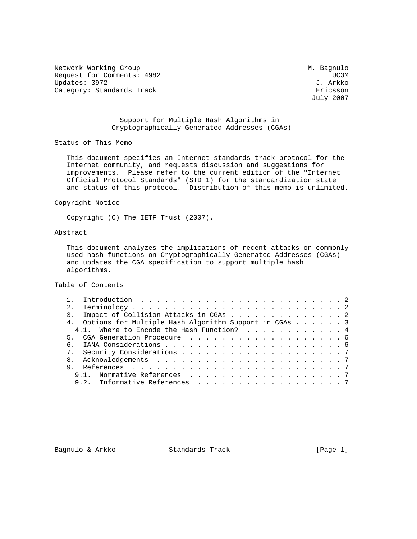Network Working Group Methods and Muslim Muslim Muslim Muslim Muslim Muslim Muslim Muslim Muslim Muslim Muslim Request for Comments: 4982 UC3M Updates: 3972 Category: Standards Track extension of the Ericsson

July 2007

### Support for Multiple Hash Algorithms in Cryptographically Generated Addresses (CGAs)

Status of This Memo

 This document specifies an Internet standards track protocol for the Internet community, and requests discussion and suggestions for improvements. Please refer to the current edition of the "Internet Official Protocol Standards" (STD 1) for the standardization state and status of this protocol. Distribution of this memo is unlimited.

Copyright Notice

Copyright (C) The IETF Trust (2007).

# Abstract

 This document analyzes the implications of recent attacks on commonly used hash functions on Cryptographically Generated Addresses (CGAs) and updates the CGA specification to support multiple hash algorithms.

Table of Contents

|  | 3. Impact of Collision Attacks in CGAs 2                 |  |  |  |  |  |  |  |  |  |
|--|----------------------------------------------------------|--|--|--|--|--|--|--|--|--|
|  | 4. Options for Multiple Hash Algorithm Support in CGAs 3 |  |  |  |  |  |  |  |  |  |
|  | 4.1. Where to Encode the Hash Function? 4                |  |  |  |  |  |  |  |  |  |
|  |                                                          |  |  |  |  |  |  |  |  |  |
|  |                                                          |  |  |  |  |  |  |  |  |  |
|  |                                                          |  |  |  |  |  |  |  |  |  |
|  |                                                          |  |  |  |  |  |  |  |  |  |
|  |                                                          |  |  |  |  |  |  |  |  |  |
|  | 9.1. Normative References 7                              |  |  |  |  |  |  |  |  |  |
|  | 9.2. Informative References 7                            |  |  |  |  |  |  |  |  |  |
|  |                                                          |  |  |  |  |  |  |  |  |  |

Bagnulo & Arkko Standards Track [Page 1]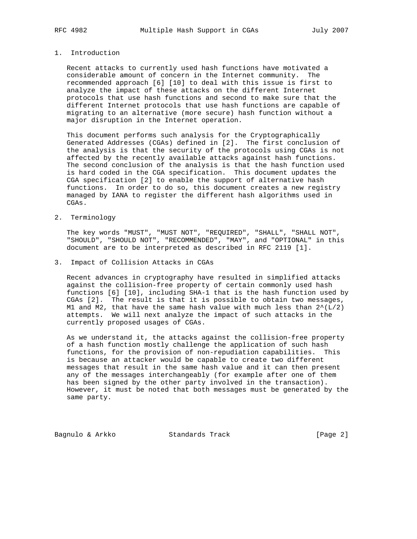## 1. Introduction

 Recent attacks to currently used hash functions have motivated a considerable amount of concern in the Internet community. The recommended approach [6] [10] to deal with this issue is first to analyze the impact of these attacks on the different Internet protocols that use hash functions and second to make sure that the different Internet protocols that use hash functions are capable of migrating to an alternative (more secure) hash function without a major disruption in the Internet operation.

 This document performs such analysis for the Cryptographically Generated Addresses (CGAs) defined in [2]. The first conclusion of the analysis is that the security of the protocols using CGAs is not affected by the recently available attacks against hash functions. The second conclusion of the analysis is that the hash function used is hard coded in the CGA specification. This document updates the CGA specification [2] to enable the support of alternative hash functions. In order to do so, this document creates a new registry managed by IANA to register the different hash algorithms used in CGAs.

2. Terminology

 The key words "MUST", "MUST NOT", "REQUIRED", "SHALL", "SHALL NOT", "SHOULD", "SHOULD NOT", "RECOMMENDED", "MAY", and "OPTIONAL" in this document are to be interpreted as described in RFC 2119 [1].

3. Impact of Collision Attacks in CGAs

 Recent advances in cryptography have resulted in simplified attacks against the collision-free property of certain commonly used hash functions [6] [10], including SHA-1 that is the hash function used by CGAs [2]. The result is that it is possible to obtain two messages, M1 and M2, that have the same hash value with much less than  $2^{\wedge}(\mathbb{L}/2)$  attempts. We will next analyze the impact of such attacks in the currently proposed usages of CGAs.

 As we understand it, the attacks against the collision-free property of a hash function mostly challenge the application of such hash functions, for the provision of non-repudiation capabilities. This is because an attacker would be capable to create two different messages that result in the same hash value and it can then present any of the messages interchangeably (for example after one of them has been signed by the other party involved in the transaction). However, it must be noted that both messages must be generated by the same party.

Bagnulo & Arkko Standards Track [Page 2]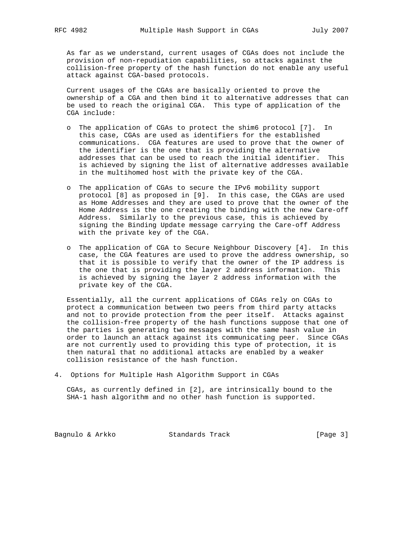As far as we understand, current usages of CGAs does not include the provision of non-repudiation capabilities, so attacks against the collision-free property of the hash function do not enable any useful attack against CGA-based protocols.

 Current usages of the CGAs are basically oriented to prove the ownership of a CGA and then bind it to alternative addresses that can be used to reach the original CGA. This type of application of the CGA include:

- o The application of CGAs to protect the shim6 protocol [7]. In this case, CGAs are used as identifiers for the established communications. CGA features are used to prove that the owner of the identifier is the one that is providing the alternative addresses that can be used to reach the initial identifier. This is achieved by signing the list of alternative addresses available in the multihomed host with the private key of the CGA.
- o The application of CGAs to secure the IPv6 mobility support protocol [8] as proposed in [9]. In this case, the CGAs are used as Home Addresses and they are used to prove that the owner of the Home Address is the one creating the binding with the new Care-off Address. Similarly to the previous case, this is achieved by signing the Binding Update message carrying the Care-off Address with the private key of the CGA.
- o The application of CGA to Secure Neighbour Discovery [4]. In this case, the CGA features are used to prove the address ownership, so that it is possible to verify that the owner of the IP address is the one that is providing the layer 2 address information. This is achieved by signing the layer 2 address information with the private key of the CGA.

 Essentially, all the current applications of CGAs rely on CGAs to protect a communication between two peers from third party attacks and not to provide protection from the peer itself. Attacks against the collision-free property of the hash functions suppose that one of the parties is generating two messages with the same hash value in order to launch an attack against its communicating peer. Since CGAs are not currently used to providing this type of protection, it is then natural that no additional attacks are enabled by a weaker collision resistance of the hash function.

4. Options for Multiple Hash Algorithm Support in CGAs

 CGAs, as currently defined in [2], are intrinsically bound to the SHA-1 hash algorithm and no other hash function is supported.

Bagnulo & Arkko Standards Track [Page 3]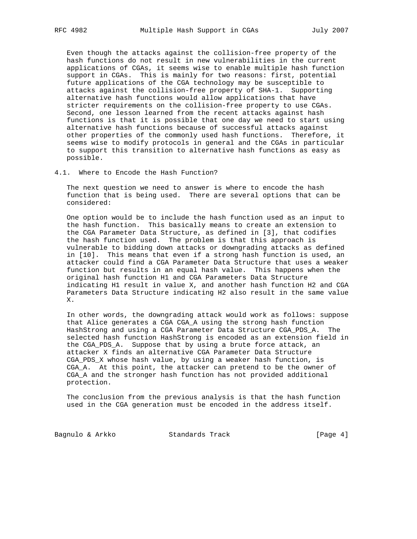Even though the attacks against the collision-free property of the hash functions do not result in new vulnerabilities in the current applications of CGAs, it seems wise to enable multiple hash function support in CGAs. This is mainly for two reasons: first, potential future applications of the CGA technology may be susceptible to attacks against the collision-free property of SHA-1. Supporting alternative hash functions would allow applications that have stricter requirements on the collision-free property to use CGAs. Second, one lesson learned from the recent attacks against hash functions is that it is possible that one day we need to start using alternative hash functions because of successful attacks against other properties of the commonly used hash functions. Therefore, it seems wise to modify protocols in general and the CGAs in particular to support this transition to alternative hash functions as easy as possible.

4.1. Where to Encode the Hash Function?

 The next question we need to answer is where to encode the hash function that is being used. There are several options that can be considered:

 One option would be to include the hash function used as an input to the hash function. This basically means to create an extension to the CGA Parameter Data Structure, as defined in [3], that codifies the hash function used. The problem is that this approach is vulnerable to bidding down attacks or downgrading attacks as defined in [10]. This means that even if a strong hash function is used, an attacker could find a CGA Parameter Data Structure that uses a weaker function but results in an equal hash value. This happens when the original hash function H1 and CGA Parameters Data Structure indicating H1 result in value X, and another hash function H2 and CGA Parameters Data Structure indicating H2 also result in the same value X.

 In other words, the downgrading attack would work as follows: suppose that Alice generates a CGA CGA\_A using the strong hash function HashStrong and using a CGA Parameter Data Structure CGA\_PDS\_A. The selected hash function HashStrong is encoded as an extension field in the CGA\_PDS\_A. Suppose that by using a brute force attack, an attacker X finds an alternative CGA Parameter Data Structure CGA\_PDS\_X whose hash value, by using a weaker hash function, is CGA\_A. At this point, the attacker can pretend to be the owner of CGA\_A and the stronger hash function has not provided additional protection.

 The conclusion from the previous analysis is that the hash function used in the CGA generation must be encoded in the address itself.

Bagnulo & Arkko Standards Track [Page 4]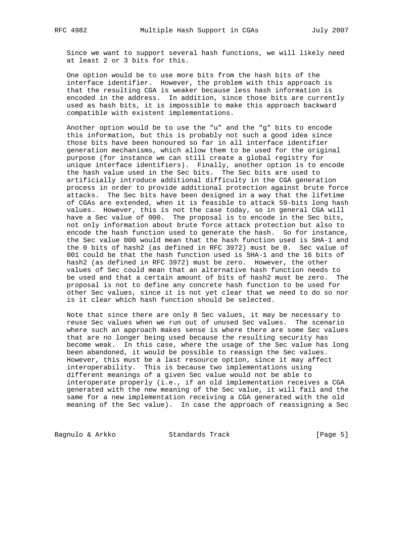Since we want to support several hash functions, we will likely need at least 2 or 3 bits for this.

 One option would be to use more bits from the hash bits of the interface identifier. However, the problem with this approach is that the resulting CGA is weaker because less hash information is encoded in the address. In addition, since those bits are currently used as hash bits, it is impossible to make this approach backward compatible with existent implementations.

 Another option would be to use the "u" and the "g" bits to encode this information, but this is probably not such a good idea since those bits have been honoured so far in all interface identifier generation mechanisms, which allow them to be used for the original purpose (for instance we can still create a global registry for unique interface identifiers). Finally, another option is to encode the hash value used in the Sec bits. The Sec bits are used to artificially introduce additional difficulty in the CGA generation process in order to provide additional protection against brute force attacks. The Sec bits have been designed in a way that the lifetime of CGAs are extended, when it is feasible to attack 59-bits long hash values. However, this is not the case today, so in general CGA will have a Sec value of 000. The proposal is to encode in the Sec bits, not only information about brute force attack protection but also to encode the hash function used to generate the hash. So for instance, the Sec value 000 would mean that the hash function used is SHA-1 and the 0 bits of hash2 (as defined in RFC 3972) must be 0. Sec value of 001 could be that the hash function used is SHA-1 and the 16 bits of hash2 (as defined in RFC 3972) must be zero. However, the other values of Sec could mean that an alternative hash function needs to be used and that a certain amount of bits of hash2 must be zero. The proposal is not to define any concrete hash function to be used for other Sec values, since it is not yet clear that we need to do so nor is it clear which hash function should be selected.

 Note that since there are only 8 Sec values, it may be necessary to reuse Sec values when we run out of unused Sec values. The scenario where such an approach makes sense is where there are some Sec values that are no longer being used because the resulting security has become weak. In this case, where the usage of the Sec value has long been abandoned, it would be possible to reassign the Sec values. However, this must be a last resource option, since it may affect interoperability. This is because two implementations using different meanings of a given Sec value would not be able to interoperate properly (i.e., if an old implementation receives a CGA generated with the new meaning of the Sec value, it will fail and the same for a new implementation receiving a CGA generated with the old meaning of the Sec value). In case the approach of reassigning a Sec

Bagnulo & Arkko Standards Track [Page 5]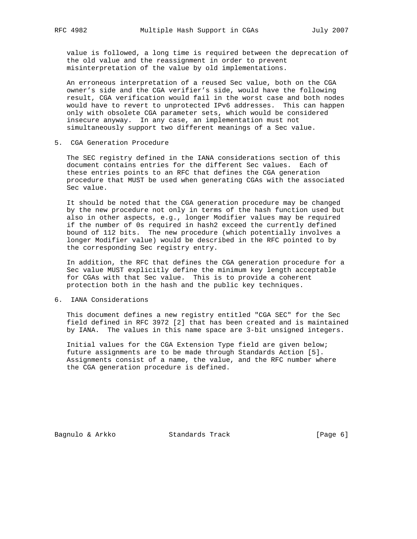value is followed, a long time is required between the deprecation of the old value and the reassignment in order to prevent misinterpretation of the value by old implementations.

 An erroneous interpretation of a reused Sec value, both on the CGA owner's side and the CGA verifier's side, would have the following result, CGA verification would fail in the worst case and both nodes would have to revert to unprotected IPv6 addresses. This can happen only with obsolete CGA parameter sets, which would be considered insecure anyway. In any case, an implementation must not simultaneously support two different meanings of a Sec value.

5. CGA Generation Procedure

 The SEC registry defined in the IANA considerations section of this document contains entries for the different Sec values. Each of these entries points to an RFC that defines the CGA generation procedure that MUST be used when generating CGAs with the associated Sec value.

 It should be noted that the CGA generation procedure may be changed by the new procedure not only in terms of the hash function used but also in other aspects, e.g., longer Modifier values may be required if the number of 0s required in hash2 exceed the currently defined bound of 112 bits. The new procedure (which potentially involves a longer Modifier value) would be described in the RFC pointed to by the corresponding Sec registry entry.

 In addition, the RFC that defines the CGA generation procedure for a Sec value MUST explicitly define the minimum key length acceptable for CGAs with that Sec value. This is to provide a coherent protection both in the hash and the public key techniques.

#### 6. IANA Considerations

 This document defines a new registry entitled "CGA SEC" for the Sec field defined in RFC 3972 [2] that has been created and is maintained by IANA. The values in this name space are 3-bit unsigned integers.

 Initial values for the CGA Extension Type field are given below; future assignments are to be made through Standards Action [5]. Assignments consist of a name, the value, and the RFC number where the CGA generation procedure is defined.

Bagnulo & Arkko Standards Track [Page 6]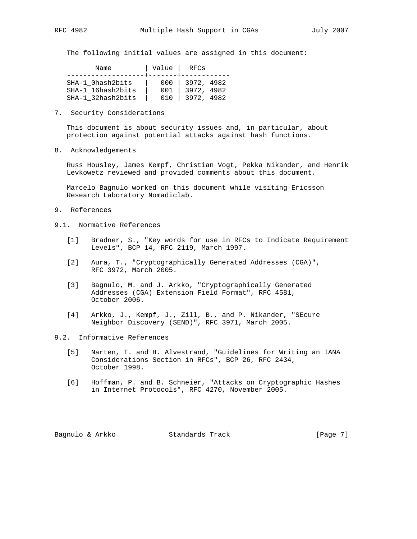The following initial values are assigned in this document:

| Name              | Value   RFCs |            |
|-------------------|--------------|------------|
| SHA-1 Ohash2bits  | 000          | 3972, 4982 |
| SHA-1 16hash2bits | 001          | 3972, 4982 |
| SHA-1 32hash2bits | 01 Q         | 3972, 4982 |

7. Security Considerations

 This document is about security issues and, in particular, about protection against potential attacks against hash functions.

8. Acknowledgements

 Russ Housley, James Kempf, Christian Vogt, Pekka Nikander, and Henrik Levkowetz reviewed and provided comments about this document.

 Marcelo Bagnulo worked on this document while visiting Ericsson Research Laboratory Nomadiclab.

- 9. References
- 9.1. Normative References
	- [1] Bradner, S., "Key words for use in RFCs to Indicate Requirement Levels", BCP 14, RFC 2119, March 1997.
	- [2] Aura, T., "Cryptographically Generated Addresses (CGA)", RFC 3972, March 2005.
	- [3] Bagnulo, M. and J. Arkko, "Cryptographically Generated Addresses (CGA) Extension Field Format", RFC 4581, October 2006.
	- [4] Arkko, J., Kempf, J., Zill, B., and P. Nikander, "SEcure Neighbor Discovery (SEND)", RFC 3971, March 2005.

### 9.2. Informative References

- [5] Narten, T. and H. Alvestrand, "Guidelines for Writing an IANA Considerations Section in RFCs", BCP 26, RFC 2434, October 1998.
- [6] Hoffman, P. and B. Schneier, "Attacks on Cryptographic Hashes in Internet Protocols", RFC 4270, November 2005.

Bagnulo & Arkko Standards Track [Page 7]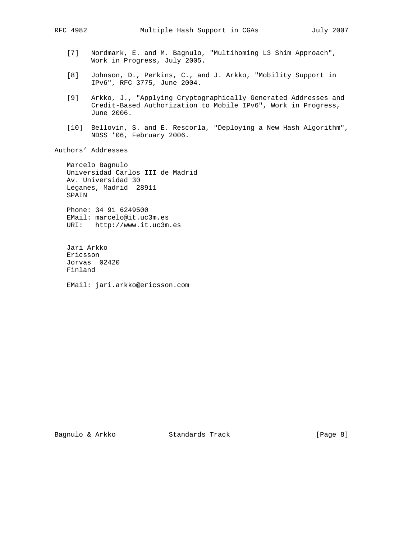- [7] Nordmark, E. and M. Bagnulo, "Multihoming L3 Shim Approach", Work in Progress, July 2005.
- [8] Johnson, D., Perkins, C., and J. Arkko, "Mobility Support in IPv6", RFC 3775, June 2004.
- [9] Arkko, J., "Applying Cryptographically Generated Addresses and Credit-Based Authorization to Mobile IPv6", Work in Progress, June 2006.
- [10] Bellovin, S. and E. Rescorla, "Deploying a New Hash Algorithm", NDSS '06, February 2006.

Authors' Addresses

 Marcelo Bagnulo Universidad Carlos III de Madrid Av. Universidad 30 Leganes, Madrid 28911 SPAIN

 Phone: 34 91 6249500 EMail: marcelo@it.uc3m.es URI: http://www.it.uc3m.es

 Jari Arkko Ericsson Jorvas 02420 Finland

EMail: jari.arkko@ericsson.com

Bagnulo & Arkko Standards Track [Page 8]